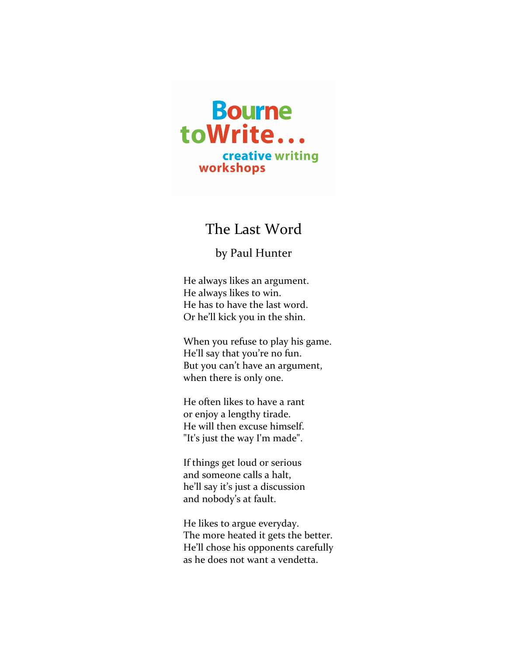

## The Last Word

## by Paul Hunter

He always likes an argument. He always likes to win. He has to have the last word. Or he'll kick you in the shin.

When you refuse to play his game. He'll say that you're no fun. But you can't have an argument, when there is only one.

He often likes to have a rant or enjoy a lengthy tirade. He will then excuse himself. "It's just the way I'm made".

If things get loud or serious and someone calls a halt, he'll say it's just a discussion and nobody's at fault.

He likes to argue everyday. The more heated it gets the better. He'll chose his opponents carefully as he does not want a vendetta.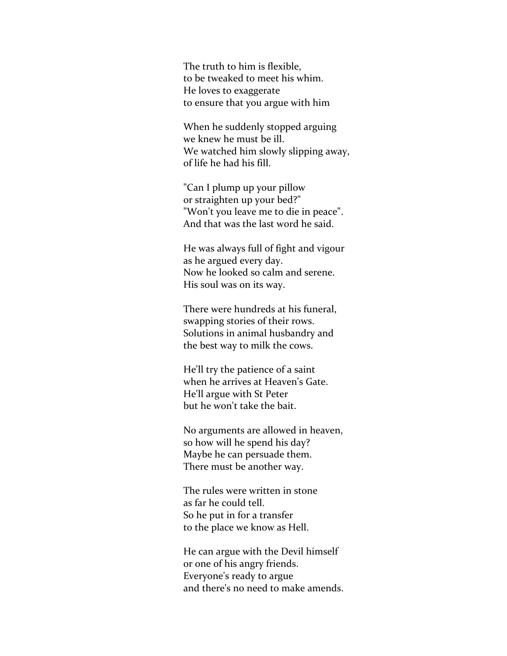The truth to him is flexible, to be tweaked to meet his whim. He loves to exaggerate to ensure that you argue with him

When he suddenly stopped arguing we knew he must be ill. We watched him slowly slipping away, of life he had his fill.

"Can I plump up your pillow or straighten up your bed?" "Won't you leave me to die in peace". And that was the last word he said.

He was always full of fight and vigour as he argued every day. Now he looked so calm and serene. His soul was on its way.

There were hundreds at his funeral, swapping stories of their rows. Solutions in animal husbandry and the best way to milk the cows.

He'll try the patience of a saint when he arrives at Heaven's Gate. He'll argue with St Peter but he won't take the bait.

No arguments are allowed in heaven, so how will he spend his day? Maybe he can persuade them. There must be another way.

The rules were written in stone as far he could tell. So he put in for a transfer to the place we know as Hell.

He can argue with the Devil himself or one of his angry friends. Everyone's ready to argue and there's no need to make amends.